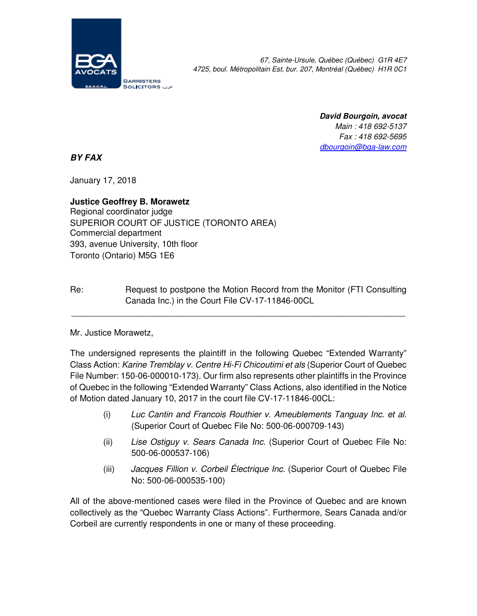

67, Sainte-Ursule, Québec (Québec) G1R 4E7 4725, boul. Métropolitain Est, bur. 207, Montréal (Québec) H1R 0C1

> **David Bourgoin, avocat**  Main : 418 692-5137 Fax : 418 692-5695 dbourgoin@bga-law.com

**BY FAX** 

January 17, 2018

**Justice Geoffrey B. Morawetz**  Regional coordinator judge SUPERIOR COURT OF JUSTICE (TORONTO AREA) Commercial department 393, avenue University, 10th floor Toronto (Ontario) M5G 1E6

Re: Request to postpone the Motion Record from the Monitor (FTI Consulting Canada Inc.) in the Court File CV-17-11846-00CL

\_\_\_\_\_\_\_\_\_\_\_\_\_\_\_\_\_\_\_\_\_\_\_\_\_\_\_\_\_\_\_\_\_\_\_\_\_\_\_\_\_\_\_\_\_\_\_\_\_\_\_\_\_\_\_\_\_\_\_\_\_\_\_\_\_\_\_\_\_\_

Mr. Justice Morawetz,

The undersigned represents the plaintiff in the following Quebec "Extended Warranty" Class Action: Karine Tremblay v. Centre Hi-Fi Chicoutimi et als (Superior Court of Quebec File Number: 150-06-000010-173). Our firm also represents other plaintiffs in the Province of Quebec in the following "Extended Warranty" Class Actions, also identified in the Notice of Motion dated January 10, 2017 in the court file CV-17-11846-00CL:

- (i) Luc Cantin and Francois Routhier v. Ameublements Tanguay Inc. et al. (Superior Court of Quebec File No: 500-06-000709-143)
- (ii) Lise Ostiguy v. Sears Canada Inc. (Superior Court of Quebec File No: 500-06-000537-106)
- (iii) Jacques Fillion v. Corbeil Électrique Inc. (Superior Court of Quebec File No: 500-06-000535-100)

All of the above-mentioned cases were filed in the Province of Quebec and are known collectively as the "Quebec Warranty Class Actions". Furthermore, Sears Canada and/or Corbeil are currently respondents in one or many of these proceeding.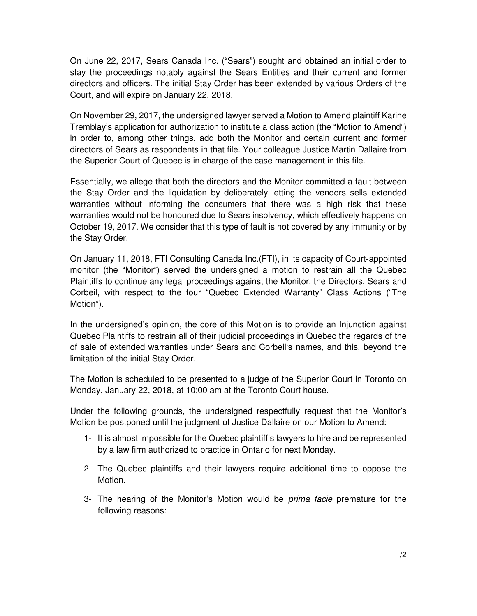On June 22, 2017, Sears Canada Inc. ("Sears") sought and obtained an initial order to stay the proceedings notably against the Sears Entities and their current and former directors and officers. The initial Stay Order has been extended by various Orders of the Court, and will expire on January 22, 2018.

On November 29, 2017, the undersigned lawyer served a Motion to Amend plaintiff Karine Tremblay's application for authorization to institute a class action (the "Motion to Amend") in order to, among other things, add both the Monitor and certain current and former directors of Sears as respondents in that file. Your colleague Justice Martin Dallaire from the Superior Court of Quebec is in charge of the case management in this file.

Essentially, we allege that both the directors and the Monitor committed a fault between the Stay Order and the liquidation by deliberately letting the vendors sells extended warranties without informing the consumers that there was a high risk that these warranties would not be honoured due to Sears insolvency, which effectively happens on October 19, 2017. We consider that this type of fault is not covered by any immunity or by the Stay Order.

On January 11, 2018, FTI Consulting Canada Inc.(FTI), in its capacity of Court-appointed monitor (the "Monitor") served the undersigned a motion to restrain all the Quebec Plaintiffs to continue any legal proceedings against the Monitor, the Directors, Sears and Corbeil, with respect to the four "Quebec Extended Warranty" Class Actions ("The Motion").

In the undersigned's opinion, the core of this Motion is to provide an Injunction against Quebec Plaintiffs to restrain all of their judicial proceedings in Quebec the regards of the of sale of extended warranties under Sears and Corbeil's names, and this, beyond the limitation of the initial Stay Order.

The Motion is scheduled to be presented to a judge of the Superior Court in Toronto on Monday, January 22, 2018, at 10:00 am at the Toronto Court house.

Under the following grounds, the undersigned respectfully request that the Monitor's Motion be postponed until the judgment of Justice Dallaire on our Motion to Amend:

- 1- It is almost impossible for the Quebec plaintiff's lawyers to hire and be represented by a law firm authorized to practice in Ontario for next Monday.
- 2- The Quebec plaintiffs and their lawyers require additional time to oppose the Motion.
- 3- The hearing of the Monitor's Motion would be prima facie premature for the following reasons: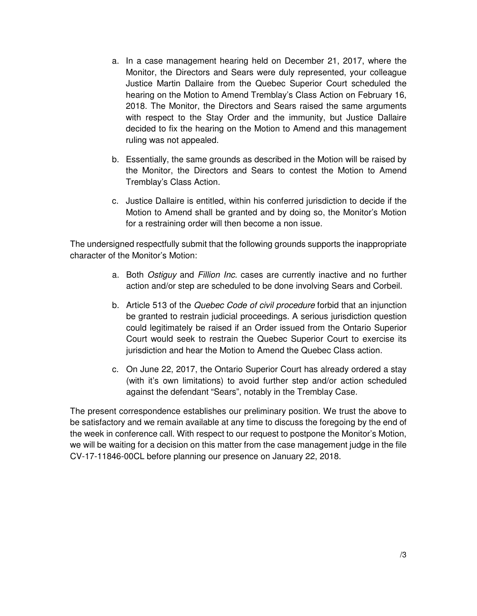- a. In a case management hearing held on December 21, 2017, where the Monitor, the Directors and Sears were duly represented, your colleague Justice Martin Dallaire from the Quebec Superior Court scheduled the hearing on the Motion to Amend Tremblay's Class Action on February 16, 2018. The Monitor, the Directors and Sears raised the same arguments with respect to the Stay Order and the immunity, but Justice Dallaire decided to fix the hearing on the Motion to Amend and this management ruling was not appealed.
- b. Essentially, the same grounds as described in the Motion will be raised by the Monitor, the Directors and Sears to contest the Motion to Amend Tremblay's Class Action.
- c. Justice Dallaire is entitled, within his conferred jurisdiction to decide if the Motion to Amend shall be granted and by doing so, the Monitor's Motion for a restraining order will then become a non issue.

The undersigned respectfully submit that the following grounds supports the inappropriate character of the Monitor's Motion:

- a. Both Ostiguy and Fillion Inc. cases are currently inactive and no further action and/or step are scheduled to be done involving Sears and Corbeil.
- b. Article 513 of the Quebec Code of civil procedure forbid that an injunction be granted to restrain judicial proceedings. A serious jurisdiction question could legitimately be raised if an Order issued from the Ontario Superior Court would seek to restrain the Quebec Superior Court to exercise its jurisdiction and hear the Motion to Amend the Quebec Class action.
- c. On June 22, 2017, the Ontario Superior Court has already ordered a stay (with it's own limitations) to avoid further step and/or action scheduled against the defendant "Sears", notably in the Tremblay Case.

The present correspondence establishes our preliminary position. We trust the above to be satisfactory and we remain available at any time to discuss the foregoing by the end of the week in conference call. With respect to our request to postpone the Monitor's Motion, we will be waiting for a decision on this matter from the case management judge in the file CV-17-11846-00CL before planning our presence on January 22, 2018.